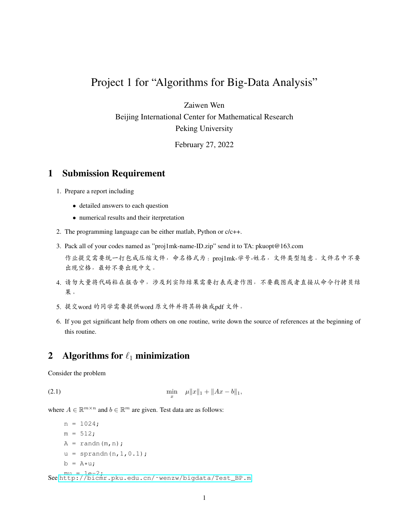## Project 1 for "Algorithms for Big-Data Analysis"

Zaiwen Wen

Beijing International Center for Mathematical Research Peking University

February 27, 2022

## 1 Submission Requirement

- 1. Prepare a report including
	- detailed answers to each question
	- numerical results and their iterpretation
- 2. The programming language can be either matlab, Python or c/c++.
- 3. Pack all of your codes named as "proj1mk-name-ID.zip" send it to TA: pkuopt@163.com <sup>作</sup>业提交需要统一打包成压缩文件,命名格式为:proj1mk-学号-姓名,文件类型随意。文件名中不<sup>要</sup> <sup>出</sup>现空格,最好不要出现中文。
- 4. <sup>请</sup>勿大量将代码粘在报告中,涉及到实际结果需要打表或者作图,不要截图或者直接从命令行拷贝<sup>结</sup> 果。
- 5. <sup>提</sup>交word <sup>的</sup>同学需要提供word <sup>原</sup>文件并将其转换成pdf <sup>文</sup>件。
- 6. If you get significant help from others on one routine, write down the source of references at the beginning of this routine.

## 2 Algorithms for  $\ell_1$  minimization

<span id="page-0-0"></span>Consider the problem

(2.1) 
$$
\min_{x} \quad \mu \|x\|_1 + \|Ax - b\|_1,
$$

where  $A \in \mathbb{R}^{m \times n}$  and  $b \in \mathbb{R}^m$  are given. Test data are as follows:

```
n = 1024;m = 512;A = \text{randn}(m,n);u = sprandn(n, 1, 0.1);
    b = A \star u;mu = 1e-2;
See http://bicmr.pku.edu.cn/˜wenzw/bigdata/Test_BP.m
```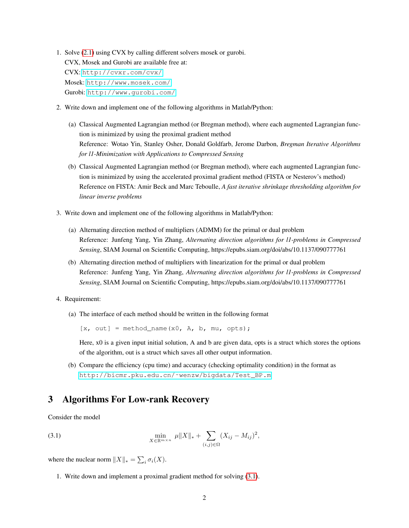- 1. Solve [\(2.1\)](#page-0-0) using CVX by calling different solvers mosek or gurobi. CVX, Mosek and Gurobi are available free at: CVX: <http://cvxr.com/cvx/> Mosek: [http://www.mosek.com/]( http://www.mosek.com/) Gurobi: <http://www.gurobi.com/>
- 2. Write down and implement one of the following algorithms in Matlab/Python:
	- (a) Classical Augmented Lagrangian method (or Bregman method), where each augmented Lagrangian function is minimized by using the proximal gradient method Reference: Wotao Yin, Stanley Osher, Donald Goldfarb, Jerome Darbon, *Bregman Iterative Algorithms for l1-Minimization with Applications to Compressed Sensing*
	- (b) Classical Augmented Lagrangian method (or Bregman method), where each augmented Lagrangian function is minimized by using the accelerated proximal gradient method (FISTA or Nesterov's method) Reference on FISTA: Amir Beck and Marc Teboulle, *A fast iterative shrinkage thresholding algorithm for linear inverse problems*
- 3. Write down and implement one of the following algorithms in Matlab/Python:
	- (a) Alternating direction method of multipliers (ADMM) for the primal or dual problem Reference: Junfeng Yang, Yin Zhang, *Alternating direction algorithms for l1-problems in Compressed Sensing*, SIAM Journal on Scientific Computing, https://epubs.siam.org/doi/abs/10.1137/090777761
	- (b) Alternating direction method of multipliers with linearization for the primal or dual problem Reference: Junfeng Yang, Yin Zhang, *Alternating direction algorithms for l1-problems in Compressed Sensing*, SIAM Journal on Scientific Computing, https://epubs.siam.org/doi/abs/10.1137/090777761
- 4. Requirement:
	- (a) The interface of each method should be written in the following format

 $[x, out] = method_name(x0, A, b, mu, opts);$ 

Here, x0 is a given input initial solution, A and b are given data, opts is a struct which stores the options of the algorithm, out is a struct which saves all other output information.

(b) Compare the efficiency (cpu time) and accuracy (checking optimality condition) in the format as [http://bicmr.pku.edu.cn/˜wenzw/bigdata/Test\\_BP.m](http://bicmr.pku.edu.cn/~wenzw/bigdata/Test_BP.m)

## 3 Algorithms For Low-rank Recovery

<span id="page-1-0"></span>Consider the model

(3.1) 
$$
\min_{X \in \mathbb{R}^{m \times n}} \ \mu \|X\|_{*} + \sum_{(i,j) \in \Omega} (X_{ij} - M_{ij})^{2},
$$

where the nuclear norm  $||X||_* = \sum_i \sigma_i(X)$ .

1. Write down and implement a proximal gradient method for solving [\(3.1\)](#page-1-0).